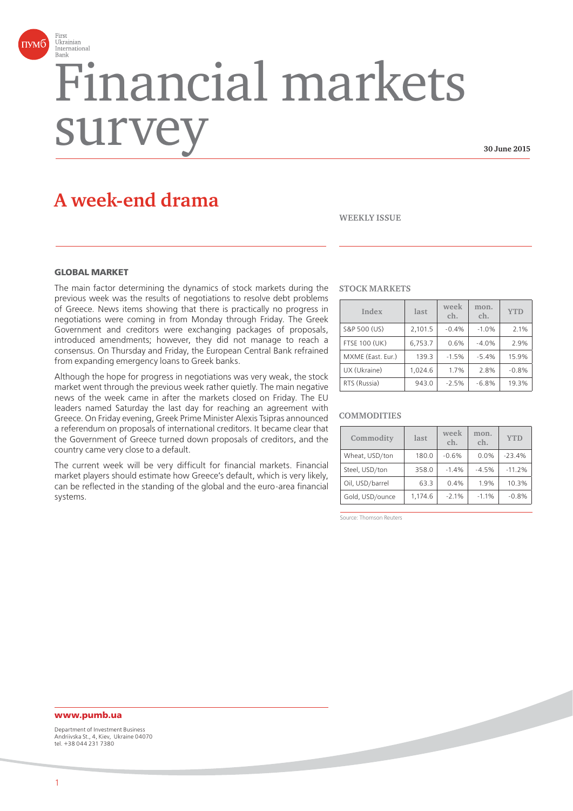

# Financial markets surve

**30 June 2015**

# **A week-end drama**

**WEEKLY ISSUE**

#### **GLORAL MARKET**

The main factor determining the dynamics of stock markets during the previous week was the results of negotiations to resolve debt problems of Greece. News items showing that there is practically no progress in negotiations were coming in from Monday through Friday. The Greek Government and creditors were exchanging packages of proposals, introduced amendments; however, they did not manage to reach a consensus. On Thursday and Friday, the European Central Bank refrained from expanding emergency loans to Greek banks.

Although the hope for progress in negotiations was very weak, the stock market went through the previous week rather quietly. The main negative news of the week came in after the markets closed on Friday. The EU leaders named Saturday the last day for reaching an agreement with Greece. On Friday evening, Greek Prime Minister Alexis Tsipras announced a referendum on proposals of international creditors. It became clear that the Government of Greece turned down proposals of creditors, and the country came very close to a default.

The current week will be very difficult for financial markets. Financial market players should estimate how Greece's default, which is very likely, can be reflected in the standing of the global and the euro-area financial systems.

#### **STOCK MARKETS**

| Index                | last    | week<br>ch. | mon.<br>ch. | <b>YTD</b> |
|----------------------|---------|-------------|-------------|------------|
| S&P 500 (US)         | 2,101.5 | $-0.4%$     | $-1.0%$     | 2.1%       |
| <b>FTSE 100 (UK)</b> | 6,753.7 | 0.6%        | $-4.0%$     | 2.9%       |
| MXME (East. Eur.)    | 139.3   | $-1.5%$     | $-5.4%$     | 15.9%      |
| UX (Ukraine)         | 1,024.6 | 1.7%        | 2.8%        | $-0.8%$    |
| RTS (Russia)         | 943.0   | $-2.5%$     | $-6.8%$     | 19.3%      |

#### **COMMODITIES**

| Commodity       | last    | week<br>ch. | mon.<br>ch. | <b>YTD</b> |
|-----------------|---------|-------------|-------------|------------|
| Wheat, USD/ton  | 180.0   | $-0.6%$     | 0.0%        | $-23.4%$   |
| Steel, USD/ton  | 358.0   | $-1.4%$     | $-4.5%$     | $-11.2%$   |
| Oil, USD/barrel | 63.3    | 0.4%        | 1.9%        | 10.3%      |
| Gold, USD/ounce | 1.174.6 | $-2.1%$     | $-1.1%$     | $-0.8%$    |

Source: Thomson Reuters

**www.pumb.ua** Department of Investment Business Andriivska St., 4, Kiev, Ukraine 04070 tel. +38 044 231 7380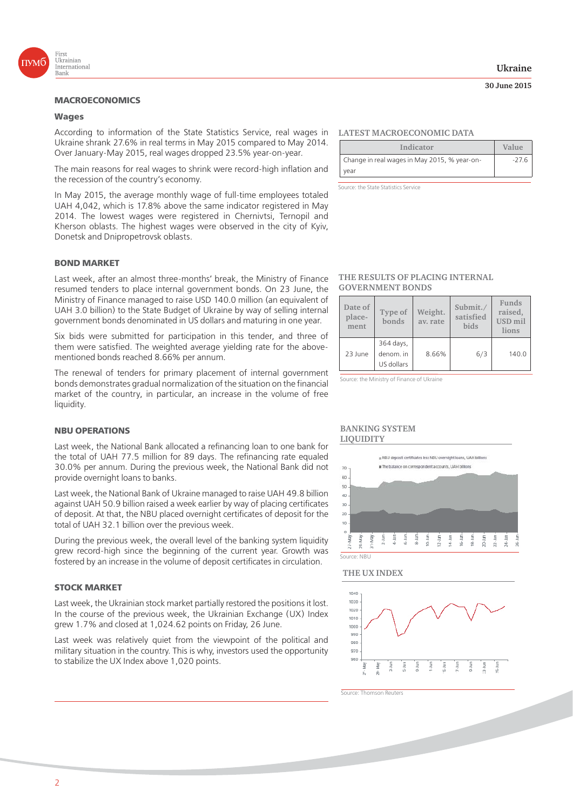

## **Wages**

According to information of the State Statistics Service, real wages in Ukraine shrank 27.6% in real terms in May 2015 compared to May 2014. Over January-May 2015, real wages dropped 23.5% year-on-year.

The main reasons for real wages to shrink were record-high inflation and the recession of the country's economy.

In May 2015, the average monthly wage of full-time employees totaled UAH 4,042, which is 17.8% above the same indicator registered in May 2014. The lowest wages were registered in Chernivtsi, Ternopil and Kherson oblasts. The highest wages were observed in the city of Kyiv, Donetsk and Dnipropetrovsk oblasts.

#### **BOND MARKET**

Last week, after an almost three-months' break, the Ministry of Finance resumed tenders to place internal government bonds. On 23 June, the Ministry of Finance managed to raise USD 140.0 million (an equivalent of UAH 3.0 billion) to the State Budget of Ukraine by way of selling internal government bonds denominated in US dollars and maturing in one year.

Six bids were submitted for participation in this tender, and three of them were satisfied. The weighted average yielding rate for the abovementioned bonds reached 8.66% per annum.

The renewal of tenders for primary placement of internal government bonds demonstrates gradual normalization of the situation on the financial market of the country, in particular, an increase in the volume of free liquidity.

#### **NBU OPERATIONS**

Last week, the National Bank allocated a refinancing loan to one bank for the total of UAH 77.5 million for 89 days. The refinancing rate equaled 30.0% per annum. During the previous week, the National Bank did not provide overnight loans to banks.

Last week, the National Bank of Ukraine managed to raise UAH 49.8 billion against UAH 50.9 billion raised a week earlier by way of placing certificates of deposit. At that, the NBU placed overnight certificates of deposit for the total of UAH 32.1 billion over the previous week.

During the previous week, the overall level of the banking system liquidity grew record-high since the beginning of the current year. Growth was fostered by an increase in the volume of deposit certificates in circulation.

#### **STOCK MARKET**

Last week, the Ukrainian stock market partially restored the positions it lost. In the course of the previous week, the Ukrainian Exchange (UX) Index grew 1.7% and closed at 1,024.62 points on Friday, 26 June.

Last week was relatively quiet from the viewpoint of the political and military situation in the country. This is why, investors used the opportunity to stabilize the UX Index above 1,020 points.

#### **Ukraine**

#### **30 June 2015**

#### **LATEST MACROECONOMIC DATA**

| Indicator                                    | Value   |
|----------------------------------------------|---------|
| Change in real wages in May 2015, % year-on- | $-27.6$ |
| vear                                         |         |

Source: the State Statistics Service

#### **THE RESULTS OF PLACING INTERNAL GOVERNMENT BONDS**

| Date of<br>place-<br>ment | Type of<br>bonds                     | Weight.<br>av. rate | Submit./<br>satisfied<br>bids | Funds<br>raised,<br>USD <sub>mil</sub><br>lions |
|---------------------------|--------------------------------------|---------------------|-------------------------------|-------------------------------------------------|
| 23 June                   | 364 days,<br>denom. in<br>US dollars | 8.66%               | 6/3                           | 140.0                                           |

Source: the Ministry of Finance of Ukraine

#### **BANKING SYSTEM LIQUIDITY**



#### **THE UX INDEX**



Source: Thomson Reuters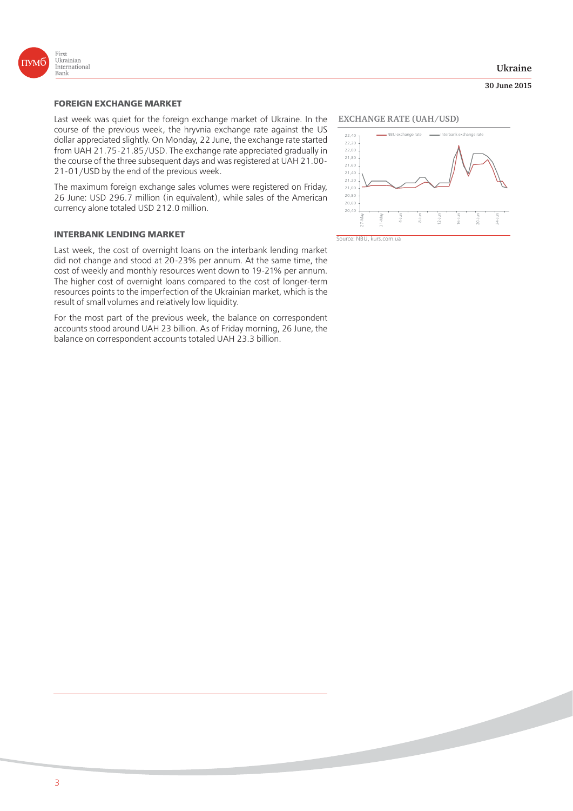

#### **Ukraine**

#### **30 June 2015**

Last week was quiet for the foreign exchange market of Ukraine. In the course of the previous week, the hryvnia exchange rate against the US dollar appreciated slightly. On Monday, 22 June, the exchange rate started from UAH 21.75-21.85/USD. The exchange rate appreciated gradually in the course of the three subsequent days and was registered at UAH 21.00- 21-01/USD by the end of the previous week.

The maximum foreign exchange sales volumes were registered on Friday, 26 June: USD 296.7 million (in equivalent), while sales of the American currency alone totaled USD 212.0 million.

#### **INTERBANK LENDING MARKET**

Last week, the cost of overnight loans on the interbank lending market did not change and stood at 20-23% per annum. At the same time, the cost of weekly and monthly resources went down to 19-21% per annum. The higher cost of overnight loans compared to the cost of longer-term resources points to the imperfection of the Ukrainian market, which is the result of small volumes and relatively low liquidity.

For the most part of the previous week, the balance on correspondent accounts stood around UAH 23 billion. As of Friday morning, 26 June, the balance on correspondent accounts totaled UAH 23.3 billion.

#### **EXCHANGE RATE (UAH/USD)**



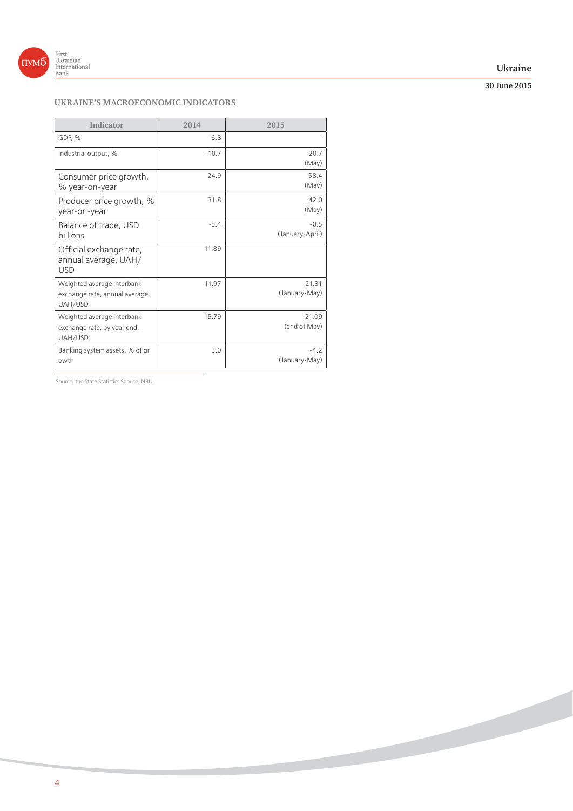

### **Ukraine**

**30 June 2015**

## **UKRAINE'S MACROECONOMIC INDICATORS**

| Indicator                                                               | 2014    | 2015                      |
|-------------------------------------------------------------------------|---------|---------------------------|
| GDP, %                                                                  | $-6.8$  |                           |
| Industrial output, %                                                    | $-10.7$ | $-20.7$<br>(May)          |
| Consumer price growth,<br>% year-on-year                                | 24.9    | 58.4<br>(May)             |
| Producer price growth, %<br>year-on-year                                | 31.8    | 42.0<br>(May)             |
| Balance of trade, USD<br>billions                                       | $-5.4$  | $-0.5$<br>(January-April) |
| Official exchange rate,<br>annual average, UAH/<br><b>USD</b>           | 11.89   |                           |
| Weighted average interbank<br>exchange rate, annual average,<br>UAH/USD | 11.97   | 21.31<br>(January-May)    |
| Weighted average interbank<br>exchange rate, by year end,<br>UAH/USD    | 15.79   | 21.09<br>(end of May)     |
| Banking system assets, % of gr<br>owth                                  | 3.0     | $-4.2$<br>(January-May)   |

Source: the State Statistics Service, NBU